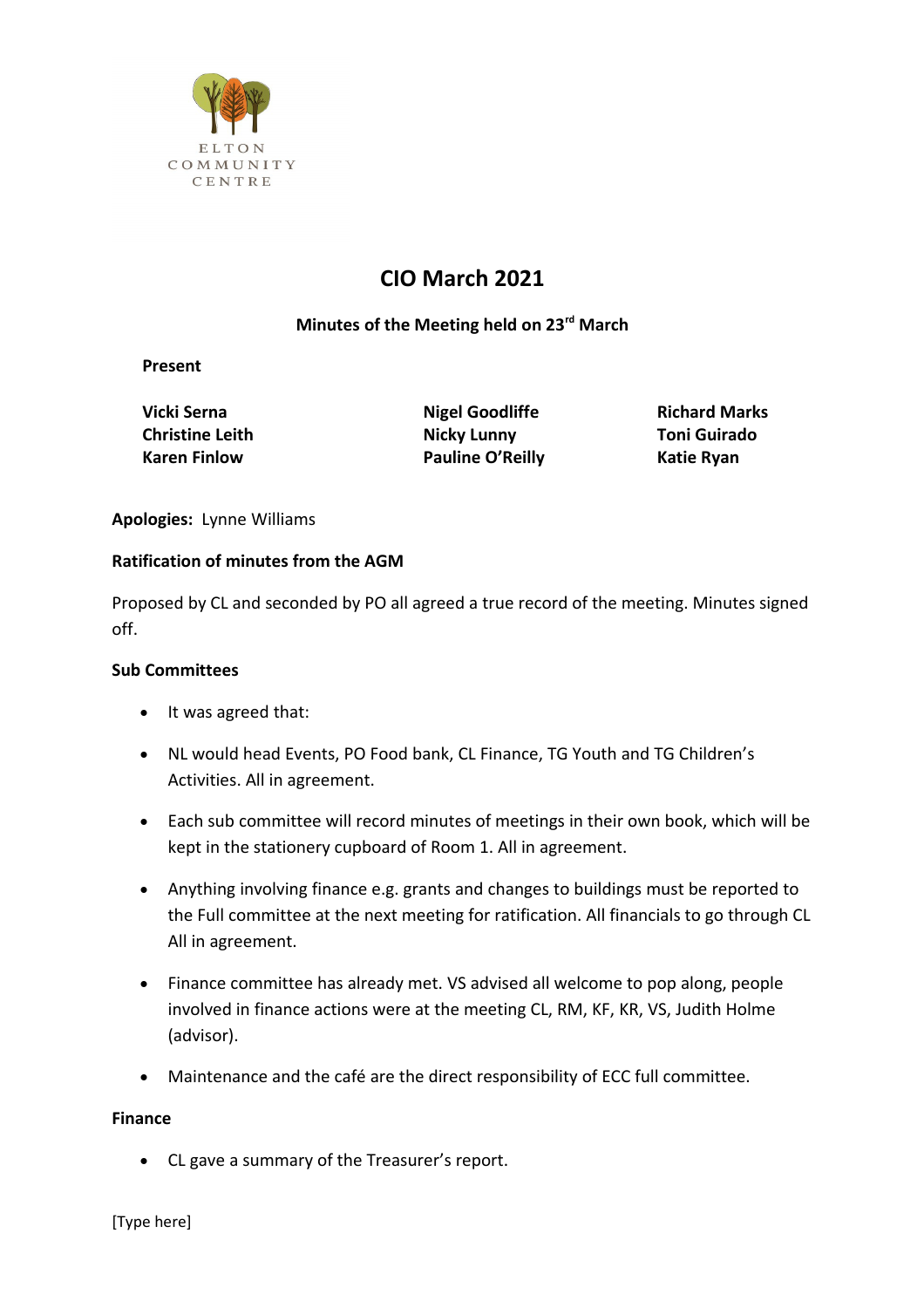

# **CIO March 2021**

## **Minutes of the Meeting held on 23rd March**

**Present**

**Vicki Serna Nigel Goodliffe** Richard Marks **Christine Leith Nicky Lunny Toni Guirado** Karen Finlow **Pauline O'Reilly** Katie Ryan

**Apologies:** Lynne Williams

### **Ratification of minutes from the AGM**

Proposed by CL and seconded by PO all agreed a true record of the meeting. Minutes signed off.

### **Sub Committees**

- It was agreed that:
- NL would head Events, PO Food bank, CL Finance, TG Youth and TG Children's Activities. All in agreement.
- Each sub committee will record minutes of meetings in their own book, which will be kept in the stationery cupboard of Room 1. All in agreement.
- Anything involving finance e.g. grants and changes to buildings must be reported to the Full committee at the next meeting for ratification. All financials to go through CL All in agreement.
- Finance committee has already met. VS advised all welcome to pop along, people involved in finance actions were at the meeting CL, RM, KF, KR, VS, Judith Holme (advisor).
- Maintenance and the café are the direct responsibility of ECC full committee.

### **Finance**

CL gave a summary of the Treasurer's report.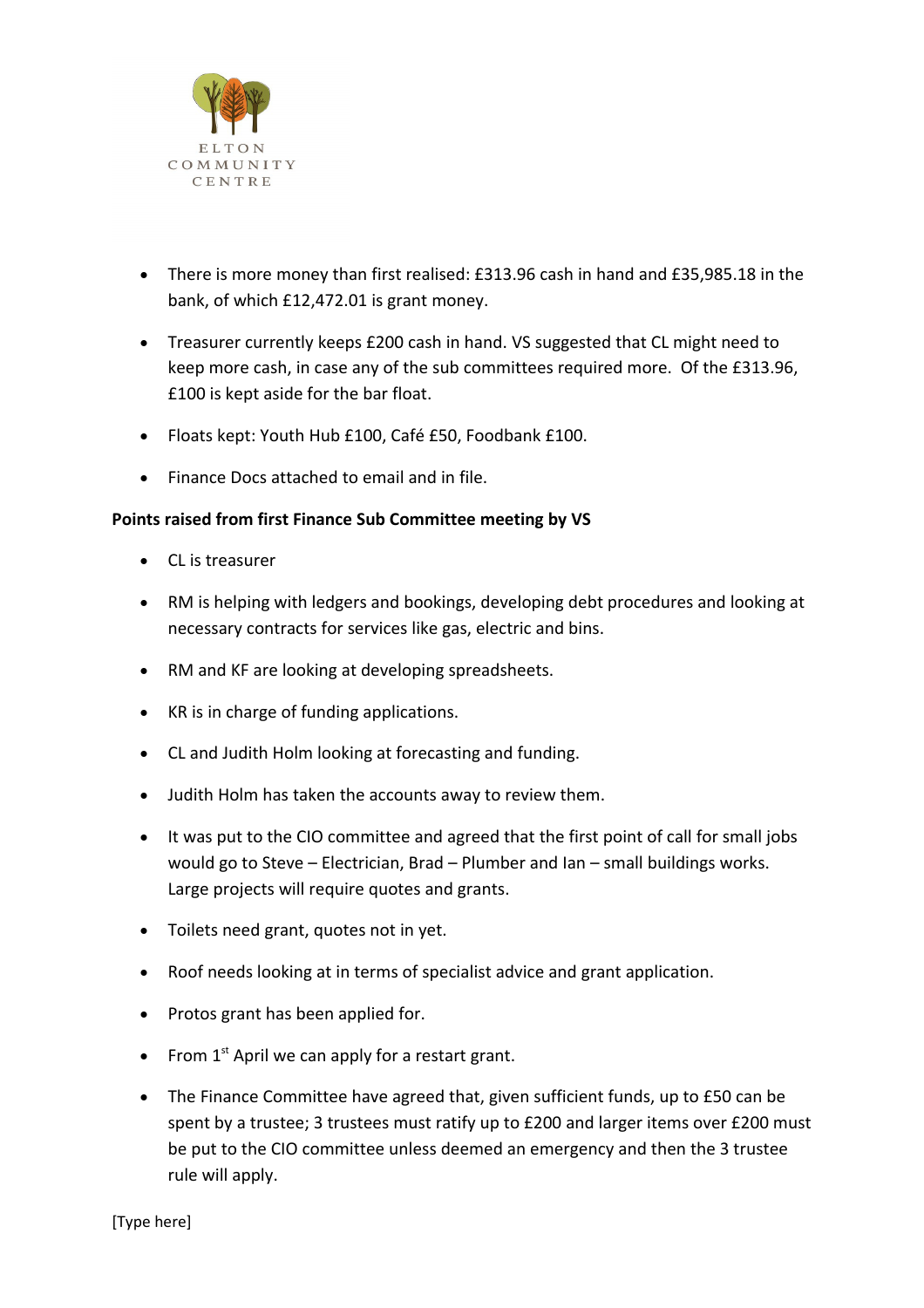

- There is more money than first realised: £313.96 cash in hand and £35,985.18 in the bank, of which £12,472.01 is grant money.
- Treasurer currently keeps £200 cash in hand. VS suggested that CL might need to keep more cash, in case any of the sub committees required more. Of the £313.96, £100 is kept aside for the bar float.
- Floats kept: Youth Hub £100, Café £50, Foodbank £100.
- Finance Docs attached to email and in file.

### **Points raised from first Finance Sub Committee meeting by VS**

- CL is treasurer
- RM is helping with ledgers and bookings, developing debt procedures and looking at necessary contracts for services like gas, electric and bins.
- RM and KF are looking at developing spreadsheets.
- KR is in charge of funding applications.
- CL and Judith Holm looking at forecasting and funding.
- Judith Holm has taken the accounts away to review them.
- It was put to the CIO committee and agreed that the first point of call for small jobs would go to Steve – Electrician, Brad – Plumber and Ian – small buildings works. Large projects will require quotes and grants.
- Toilets need grant, quotes not in yet.
- Roof needs looking at in terms of specialist advice and grant application.
- Protos grant has been applied for.
- From  $1<sup>st</sup>$  April we can apply for a restart grant.
- The Finance Committee have agreed that, given sufficient funds, up to £50 can be spent by a trustee; 3 trustees must ratify up to £200 and larger items over £200 must be put to the CIO committee unless deemed an emergency and then the 3 trustee rule will apply.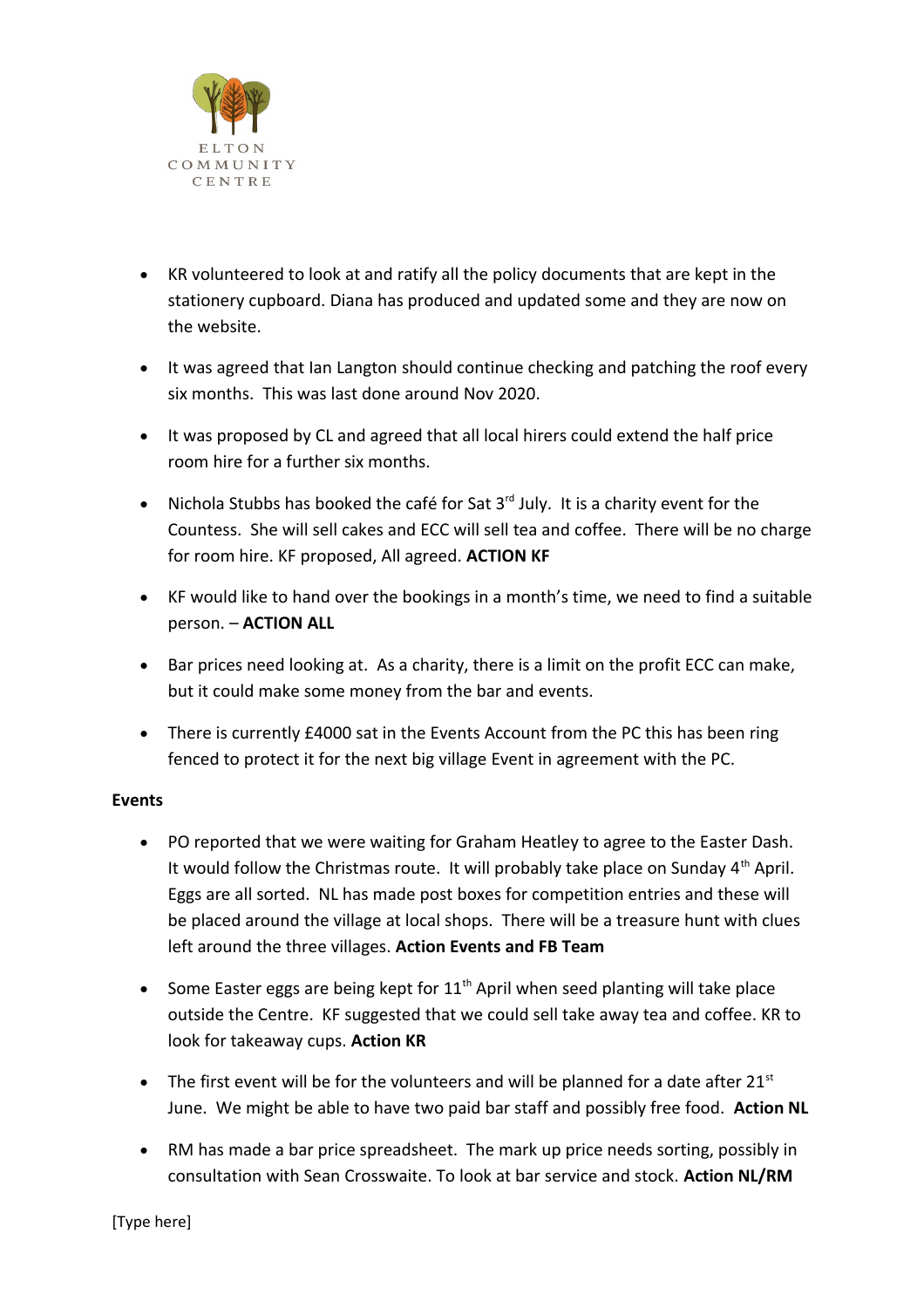

- KR volunteered to look at and ratify all the policy documents that are kept in the stationery cupboard. Diana has produced and updated some and they are now on the website.
- It was agreed that Ian Langton should continue checking and patching the roof every six months. This was last done around Nov 2020.
- It was proposed by CL and agreed that all local hirers could extend the half price room hire for a further six months.
- Nichola Stubbs has booked the café for Sat  $3<sup>rd</sup>$  July. It is a charity event for the Countess. She will sell cakes and ECC will sell tea and coffee. There will be no charge for room hire. KF proposed, All agreed. **ACTION KF**
- KF would like to hand over the bookings in a month's time, we need to find a suitable person. – **ACTION ALL**
- Bar prices need looking at. As a charity, there is a limit on the profit ECC can make, but it could make some money from the bar and events.
- There is currently £4000 sat in the Events Account from the PC this has been ring fenced to protect it for the next big village Event in agreement with the PC.

### **Events**

- PO reported that we were waiting for Graham Heatley to agree to the Easter Dash. It would follow the Christmas route. It will probably take place on Sunday  $4<sup>th</sup>$  April. Eggs are all sorted. NL has made post boxes for competition entries and these will be placed around the village at local shops. There will be a treasure hunt with clues left around the three villages. **Action Events and FB Team**
- Some Easter eggs are being kept for  $11<sup>th</sup>$  April when seed planting will take place outside the Centre. KF suggested that we could sell take away tea and coffee. KR to look for takeaway cups. **Action KR**
- $\bullet$  The first event will be for the volunteers and will be planned for a date after 21st June. We might be able to have two paid bar staff and possibly free food. **Action NL**
- RM has made a bar price spreadsheet. The mark up price needs sorting, possibly in consultation with Sean Crosswaite. To look at bar service and stock. **Action NL/RM**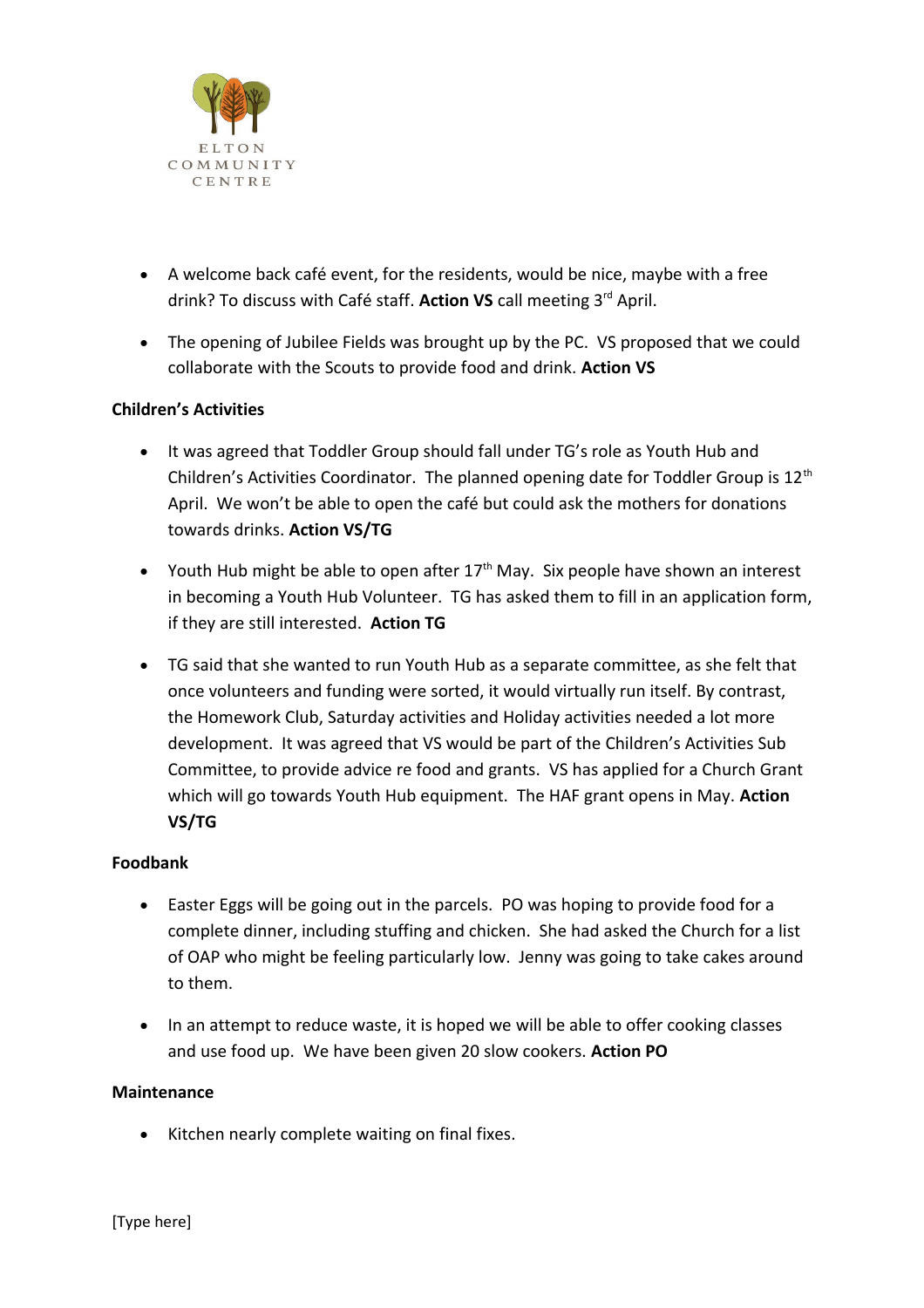

- A welcome back café event, for the residents, would be nice, maybe with a free drink? To discuss with Café staff. **Action VS** call meeting 3rd April.
- The opening of Jubilee Fields was brought up by the PC. VS proposed that we could collaborate with the Scouts to provide food and drink. **Action VS**

### **Children's Activities**

- It was agreed that Toddler Group should fall under TG's role as Youth Hub and Children's Activities Coordinator. The planned opening date for Toddler Group is  $12<sup>th</sup>$ April. We won't be able to open the café but could ask the mothers for donations towards drinks. **Action VS/TG**
- Youth Hub might be able to open after  $17<sup>th</sup>$  May. Six people have shown an interest in becoming a Youth Hub Volunteer. TG has asked them to fill in an application form, if they are still interested. **Action TG**
- TG said that she wanted to run Youth Hub as a separate committee, as she felt that once volunteers and funding were sorted, it would virtually run itself. By contrast, the Homework Club, Saturday activities and Holiday activities needed a lot more development. It was agreed that VS would be part of the Children's Activities Sub Committee, to provide advice re food and grants. VS has applied for a Church Grant which will go towards Youth Hub equipment. The HAF grant opens in May. **Action VS/TG**

### **Foodbank**

- Easter Eggs will be going out in the parcels. PO was hoping to provide food for a complete dinner, including stuffing and chicken. She had asked the Church for a list of OAP who might be feeling particularly low. Jenny was going to take cakes around to them.
- In an attempt to reduce waste, it is hoped we will be able to offer cooking classes and use food up. We have been given 20 slow cookers. **Action PO**

#### **Maintenance**

• Kitchen nearly complete waiting on final fixes.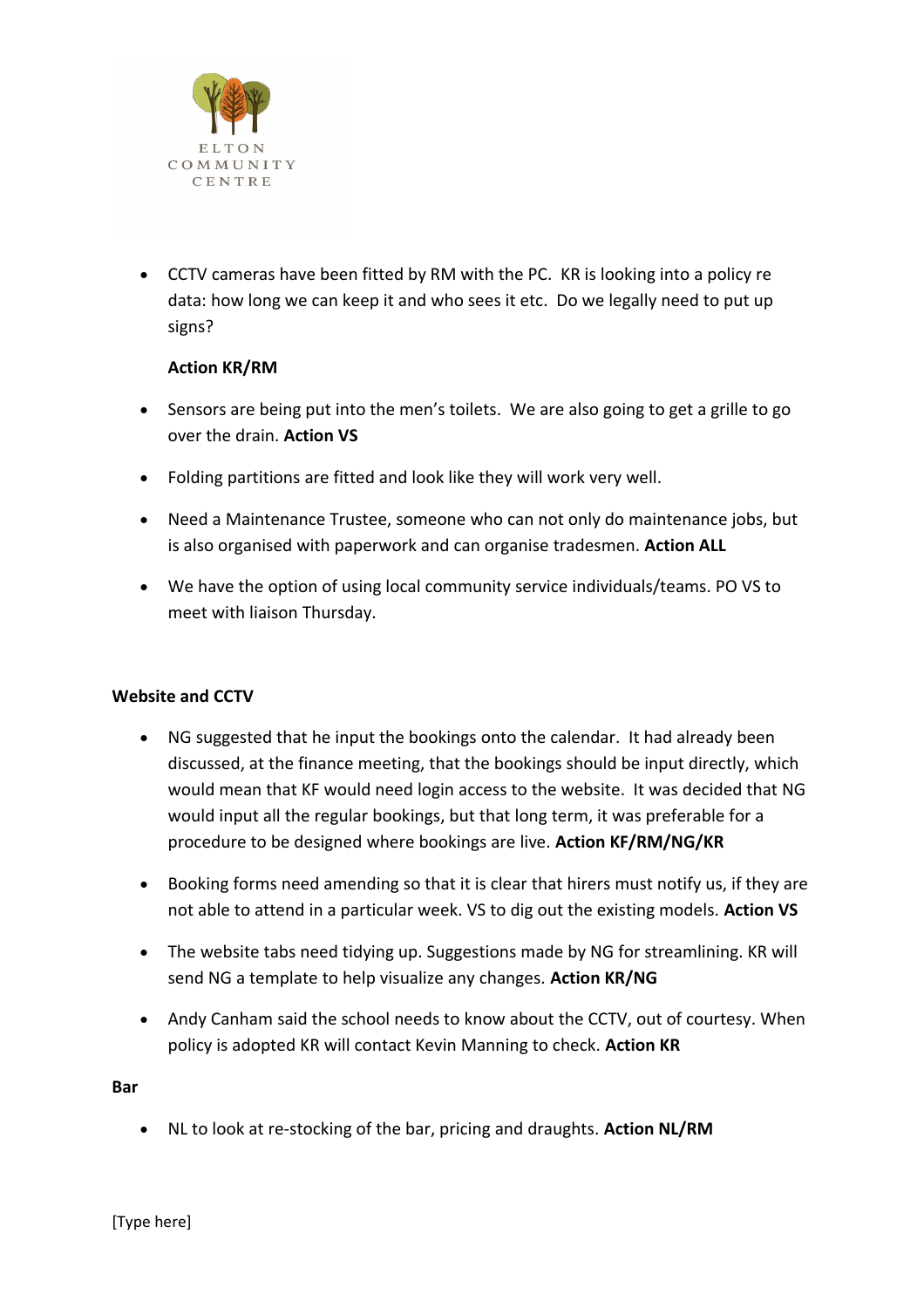

 CCTV cameras have been fitted by RM with the PC. KR is looking into a policy re data: how long we can keep it and who sees it etc. Do we legally need to put up signs?

### **Action KR/RM**

- Sensors are being put into the men's toilets. We are also going to get a grille to go over the drain. **Action VS**
- Folding partitions are fitted and look like they will work very well.
- Need a Maintenance Trustee, someone who can not only do maintenance jobs, but is also organised with paperwork and can organise tradesmen. **Action ALL**
- We have the option of using local community service individuals/teams. PO VS to meet with liaison Thursday.

### **Website and CCTV**

- NG suggested that he input the bookings onto the calendar. It had already been discussed, at the finance meeting, that the bookings should be input directly, which would mean that KF would need login access to the website. It was decided that NG would input all the regular bookings, but that long term, it was preferable for a procedure to be designed where bookings are live. **Action KF/RM/NG/KR**
- Booking forms need amending so that it is clear that hirers must notify us, if they are not able to attend in a particular week. VS to dig out the existing models. **Action VS**
- The website tabs need tidying up. Suggestions made by NG for streamlining. KR will send NG a template to help visualize any changes. **Action KR/NG**
- Andy Canham said the school needs to know about the CCTV, out of courtesy. When policy is adopted KR will contact Kevin Manning to check. **Action KR**

**Bar** 

NL to look at re-stocking of the bar, pricing and draughts. **Action NL/RM**